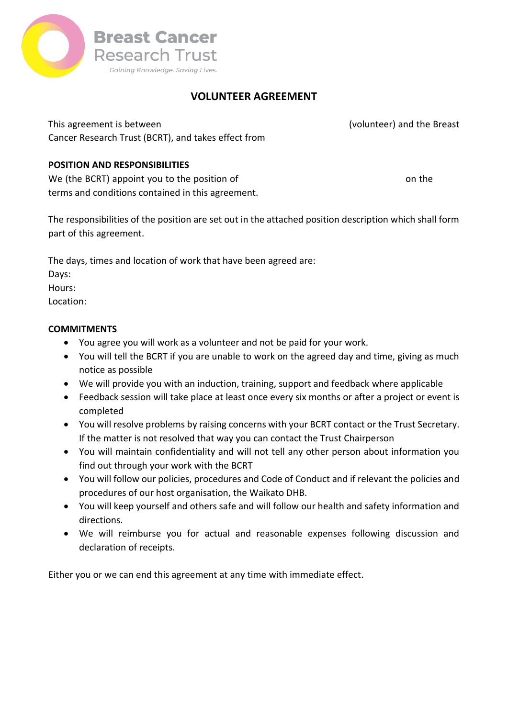

# **VOLUNTEER AGREEMENT**

This agreement is between Click or tap here to enter name of volunteer) and the Breast Cancer Research Trust (BCRT), and takes effect from

#### **POSITION AND RESPONSIBILITIES**

We (the BCRT) appoint you to the position of Click or tap here to enter position the contract on the terms and conditions contained in this agreement.

The responsibilities of the position are set out in the attached position description which shall form part of this agreement.

The days, times and location of work that have been agreed are:

Days:

Hours:

Location:

### **COMMITMENTS**

- You agree you will work as a volunteer and not be paid for your work.
- You will tell the BCRT if you are unable to work on the agreed day and time, giving as much notice as possible
- We will provide you with an induction, training, support and feedback where applicable
- Feedback session will take place at least once every six months or after a project or event is completed
- You will resolve problems by raising concerns with your BCRT contact or the Trust Secretary. If the matter is not resolved that way you can contact the Trust Chairperson
- You will maintain confidentiality and will not tell any other person about information you find out through your work with the BCRT
- You will follow our policies, procedures and Code of Conduct and if relevant the policies and procedures of our host organisation, the Waikato DHB.
- You will keep yourself and others safe and will follow our health and safety information and directions.
- We will reimburse you for actual and reasonable expenses following discussion and declaration of receipts.

Either you or we can end this agreement at any time with immediate effect.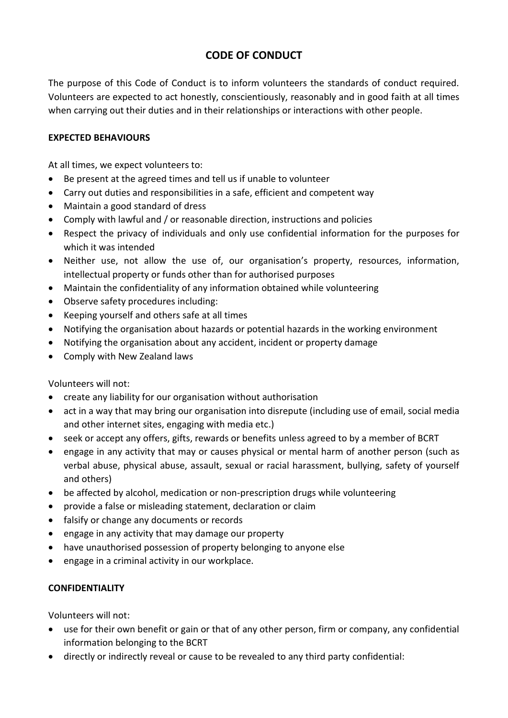# **CODE OF CONDUCT**

The purpose of this Code of Conduct is to inform volunteers the standards of conduct required. Volunteers are expected to act honestly, conscientiously, reasonably and in good faith at all times when carrying out their duties and in their relationships or interactions with other people.

#### **EXPECTED BEHAVIOURS**

At all times, we expect volunteers to:

- Be present at the agreed times and tell us if unable to volunteer
- Carry out duties and responsibilities in a safe, efficient and competent way
- Maintain a good standard of dress
- Comply with lawful and / or reasonable direction, instructions and policies
- Respect the privacy of individuals and only use confidential information for the purposes for which it was intended
- Neither use, not allow the use of, our organisation's property, resources, information, intellectual property or funds other than for authorised purposes
- Maintain the confidentiality of any information obtained while volunteering
- Observe safety procedures including:
- Keeping yourself and others safe at all times
- Notifying the organisation about hazards or potential hazards in the working environment
- Notifying the organisation about any accident, incident or property damage
- Comply with New Zealand laws

#### Volunteers will not:

- create any liability for our organisation without authorisation
- act in a way that may bring our organisation into disrepute (including use of email, social media and other internet sites, engaging with media etc.)
- seek or accept any offers, gifts, rewards or benefits unless agreed to by a member of BCRT
- engage in any activity that may or causes physical or mental harm of another person (such as verbal abuse, physical abuse, assault, sexual or racial harassment, bullying, safety of yourself and others)
- be affected by alcohol, medication or non-prescription drugs while volunteering
- provide a false or misleading statement, declaration or claim
- falsify or change any documents or records
- engage in any activity that may damage our property
- have unauthorised possession of property belonging to anyone else
- engage in a criminal activity in our workplace.

#### **CONFIDENTIALITY**

Volunteers will not:

- use for their own benefit or gain or that of any other person, firm or company, any confidential information belonging to the BCRT
- directly or indirectly reveal or cause to be revealed to any third party confidential: